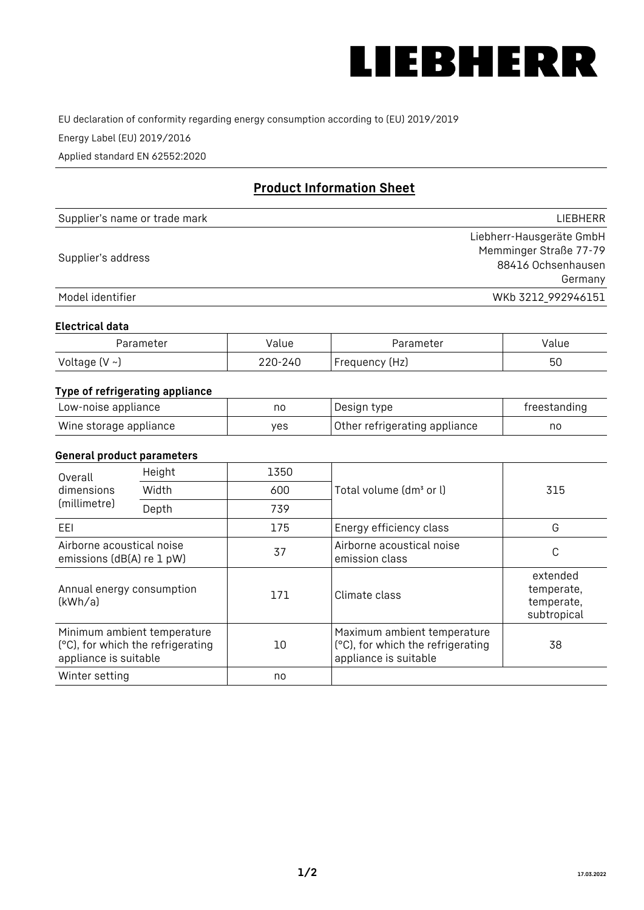

EU declaration of conformity regarding energy consumption according to (EU) 2019/2019

Energy Label (EU) 2019/2016

Applied standard EN 62552:2020

# **Product Information Sheet**

| Supplier's name or trade mark | LIEBHERR                 |
|-------------------------------|--------------------------|
|                               | Liebherr-Hausgeräte GmbH |
| Supplier's address            | Memminger Straße 77-79   |
|                               | 88416 Ochsenhausen       |
|                               | Germany                  |
| Model identifier              | WKb 3212 992946151       |

### **Electrical data**

| Parameter     | Value          | Parameter         | alue/ |
|---------------|----------------|-------------------|-------|
| Voltage (V ~) | 220-:<br>، 240 | (Hz)<br>Frequency | 50    |

# **Type of refrigerating appliance**

| Low-noise appliance    | nc  | Design type                   | freestanding |
|------------------------|-----|-------------------------------|--------------|
| Wine storage appliance | ves | Other refrigerating appliance | no           |

#### **General product parameters**

| Height<br>Overall                                      |                                                                  | 1350 |                                                                                           |                                                     |
|--------------------------------------------------------|------------------------------------------------------------------|------|-------------------------------------------------------------------------------------------|-----------------------------------------------------|
| dimensions<br>(millimetre)                             | Width                                                            | 600  | Total volume (dm <sup>3</sup> or l)                                                       | 315                                                 |
|                                                        | Depth                                                            | 739  |                                                                                           |                                                     |
| EEL                                                    |                                                                  | 175  | Energy efficiency class                                                                   | G                                                   |
| Airborne acoustical noise<br>emissions (dB(A) re 1 pW) |                                                                  | 37   | Airborne acoustical noise<br>emission class                                               | C                                                   |
| Annual energy consumption<br>(kWh/a)                   |                                                                  | 171  | Climate class                                                                             | extended<br>temperate,<br>temperate,<br>subtropical |
| appliance is suitable                                  | Minimum ambient temperature<br>(°C), for which the refrigerating | 10   | Maximum ambient temperature<br>(°C), for which the refrigerating<br>appliance is suitable | 38                                                  |
| Winter setting                                         |                                                                  | no   |                                                                                           |                                                     |